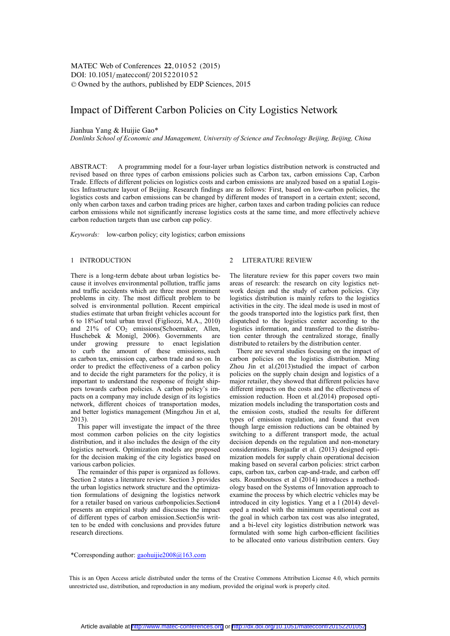# Impact of Different Carbon Policies on City Logistics Network

# Jianhua Yang & Huijie Gao\*

*Donlinks School of Economic and Management, University of Science and Technology Beijing, Beijing, China* 

ABSTRACT: A programming model for a four-layer urban logistics distribution network is constructed and revised based on three types of carbon emissions policies such as Carbon tax, carbon emissions Cap, Carbon Trade. Effects of different policies on logistics costs and carbon emissions are analyzed based on a spatial Logistics Infrastructure layout of Beijing. Research findings are as follows: First, based on low-carbon policies, the logistics costs and carbon emissions can be changed by different modes of transport in a certain extent; second, only when carbon taxes and carbon trading prices are higher, carbon taxes and carbon trading policies can reduce carbon emissions while not significantly increase logistics costs at the same time, and more effectively achieve carbon reduction targets than use carbon cap policy.

*Keywords:* low-carbon policy; city logistics; carbon emissions

# 1 INTRODUCTION

There is a long-term debate about urban logistics because it involves environmental pollution, traffic jams and traffic accidents which are three most prominent problems in city. The most difficult problem to be solved is environmental pollution. Recent empirical studies estimate that urban freight vehicles account for 6 to 18%of total urban travel (Figliozzi, M.A., 2010) and  $21\%$  of  $CO<sub>2</sub>$  emissions(Schoemaker, Allen, Huschebek & Monigl. 2006). Governments are Huschebek & Monigl, 2006). Governments under growing pressure to enact legislation to curb the amount of these emissions, such as carbon tax, emission cap, carbon trade and so on. In order to predict the effectiveness of a carbon policy and to decide the right parameters for the policy, it is important to understand the response of freight shippers towards carbon policies. A carbon policy's impacts on a company may include design of its logistics network, different choices of transportation modes, and better logistics management (Mingzhou Jin et al, 2013).

This paper will investigate the impact of the three most common carbon policies on the city logistics distribution, and it also includes the design of the city logistics network. Optimization models are proposed for the decision making of the city logistics based on various carbon policies.

The remainder of this paper is organized as follows. Section 2 states a literature review. Section 3 provides the urban logistics network structure and the optimization formulations of designing the logistics network for a retailer based on various carbonpolicies.Section4 presents an empirical study and discusses the impact of different types of carbon emission.Section5is written to be ended with conclusions and provides future research directions.

# 2 LITERATURE REVIEW

The literature review for this paper covers two main areas of research: the research on city logistics network design and the study of carbon policies. City logistics distribution is mainly refers to the logistics activities in the city. The ideal mode is used in most of the goods transported into the logistics park first, then dispatched to the logistics center according to the logistics information, and transferred to the distribution center through the centralized storage, finally distributed to retailers by the distribution center.

There are several studies focusing on the impact of carbon policies on the logistics distribution. Ming Zhou Jin et al.(2013)studied the impact of carbon policies on the supply chain design and logistics of a major retailer, they showed that different policies have different impacts on the costs and the effectiveness of emission reduction. Hoen et al.(2014) proposed optimization models including the transportation costs and the emission costs, studied the results for different types of emission regulation, and found that even though large emission reductions can be obtained by switching to a different transport mode, the actual decision depends on the regulation and non-monetary considerations. Benjaafar et al. (2013) designed optimization models for supply chain operational decision making based on several carbon policies: strict carbon caps, carbon tax, carbon cap-and-trade, and carbon off sets. Roumboutsos et al (2014) introduces a methodology based on the Systems of Innovation approach to examine the process by which electric vehicles may be introduced in city logistics. Yang et a l (2014) developed a model with the minimum operational cost as the goal in which carbon tax cost was also integrated, and a bi-level city logistics distribution network was formulated with some high carbon-efficient facilities to be allocated onto various distribution centers. Guy

\*Corresponding author: gaohuijie2008@163.com

This is an Open Access article distributed under the terms of the Creative Commons Attribution License 4.0, which permits unrestricted use, distribution, and reproduction in any medium, provided the original work is properly cited.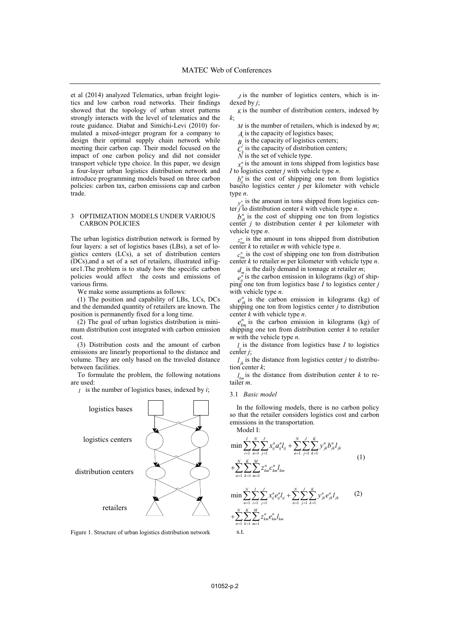et al (2014) analyzed Telematics, urban freight logistics and low carbon road networks. Their findings showed that the topology of urban street patterns strongly interacts with the level of telematics and the route guidance. Diabat and Simichi-Levi (2010) formulated a mixed-integer program for a company to design their optimal supply chain network while meeting their carbon cap. Their model focused on the impact of one carbon policy and did not consider transport vehicle type choice. In this paper, we design a four-layer urban logistics distribution network and introduce programming models based on three carbon policies: carbon tax, carbon emissions cap and carbon trade.

#### 3 OPTIMIZATION MODELS UNDER VARIOUS CARBON POLICIES

The urban logistics distribution network is formed by four layers: a set of logistics bases (LBs), a set of logistics centers (LCs), a set of distribution centers (DCs),and a set of a set of retailers, illustrated inFigure1.The problem is to study how the specific carbon policies would affect the costs and emissions of various firms.

We make some assumptions as follows:

(1) The position and capability of LBs, LCs, DCs and the demanded quantity of retailers are known. The position is permanently fixed for a long time.

(2) The goal of urban logistics distribution is minimum distribution cost integrated with carbon emission cost.

(3) Distribution costs and the amount of carbon emissions are linearly proportional to the distance and volume. They are only based on the traveled distance between facilities.

To formulate the problem, the following notations are used:

*I* is the number of logistics bases, indexed by *i*;



Figure 1. Structure of urban logistics distribution network

*J* is the number of logistics centers, which is indexed by *j*;

 $K$  is the number of distribution centers, indexed by *k*;

*M* is the number of retailers, which is indexed by *m*; *Ai* is the capacity of logistics bases;

 $B_j$  is the capacity of logistics centers;

 $\overline{C}_n$  is the capacity of distribution centers;

 $\overline{N}$  is the set of vehicle type.

 $x_{ij}^n$  is the amount in tons shipped from logistics base *I* to logistics center *j* with vehicle type *n*.

 $b_{ij}^n$  is the cost of shipping one ton from logistics base*i*to logistics center *j* per kilometer with vehicle type *n*.

 $y_{jk}^n$  is the amount in tons shipped from logistics center  $j^*$  to distribution center  $k$  with vehicle type  $n$ .

 $b_{ik}^n$  is the cost of shipping one ton from logistics center *j* to distribution center *k* per kilometer with vehicle type *n*.

 $z_{km}^{n}$  is the amount in tons shipped from distribution center  $k$  to retailer  $m$  with vehicle type  $n$ .

 $c_{km}^n$  is the cost of shipping one ton from distribution center  $k$  to retailer  $m$  per kilometer with vehicle type  $n$ .  $d_m$  is the daily demand in tonnage at retailer *m*;

 $e_n^m$  is the carbon emission in kilograms (kg) of ship-

ping one ton from logistics base *I* to logistics center *j* with vehicle type *n*.

 $e_{ik}^{n}$  is the carbon emission in kilograms (kg) of shipping one ton from logistics center  $j$  to distribution center *<sup>k</sup>* with vehicle type *n*. *<sup>n</sup>*

 $e_{km}^{n}$  is the carbon emission in kilograms (kg) of shipping one ton from distribution center *k* to retailer *m* with the vehicle type *n*.

 $\ell$  is the distance from logistics base *I* to logistics center *j*;

 $l_{jk}$  is the distance from logistics center *j* to distribution center *k*;

 $l_{km}$  is the distance from distribution center *k* to retailer *m*.

#### 3.1 *Basic model*

In the following models, there is no carbon policy so that the retailer considers logistics cost and carbon emissions in the transportation.

Model I:

$$
\min \sum_{i=1}^{I} \sum_{n=1}^{N} \sum_{j=1}^{J} x_{ij}^{n} a_{ij}^{n} l_{ij} + \sum_{n=1}^{N} \sum_{j=1}^{J} \sum_{k=1}^{K} y_{jk}^{n} b_{jk}^{n} l_{jk} + \sum_{n=1}^{N} \sum_{k=1}^{K} \sum_{m=1}^{M} z_{km}^{n} c_{km}^{n} l_{km}
$$
\n(1)

$$
\min \sum_{n=1}^{N} \sum_{i=1}^{I} \sum_{j=1}^{J} x_{ij}^{n} e_{ij}^{n} l_{ij} + \sum_{n=1}^{N} \sum_{j=1}^{J} \sum_{k=1}^{K} y_{jk}^{n} e_{jk}^{n} l_{jk}
$$
\n
$$
+ \sum_{n=1}^{N} \sum_{k=1}^{K} \sum_{m=1}^{M} z_{km}^{n} e_{km}^{n} l_{km}
$$
\n(2)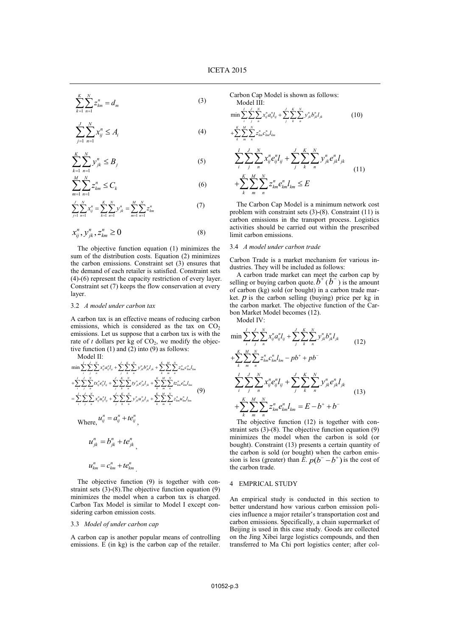$$
\sum_{k=1}^{K} \sum_{n=1}^{N} z_{km}^{n} = d_{m} \tag{3}
$$

$$
\sum_{j=1}^{J} \sum_{n=1}^{N} x_{ij}^{n} \le A_{i}
$$
 (4)

$$
\sum_{k=1}^{K} \sum_{n=1}^{N} y_{jk}^{n} \le B_{j}
$$
 (5)

$$
\sum_{m=1}^{M} \sum_{n=1}^{N} z_{km}^{n} \le C_{k}
$$
\n(6)

$$
\sum_{j=1}^{J} \sum_{n=1}^{N} x_{ij}^{n} = \sum_{k=1}^{K} \sum_{n=1}^{N} y_{jk}^{n} = \sum_{m=1}^{M} \sum_{n=1}^{N} z_{km}^{n}
$$
 (7)

$$
x_{ij}^n, y_{jk}^n, z_{km}^n \ge 0
$$
 (8)

The objective function equation (1) minimizes the sum of the distribution costs. Equation (2) minimizes the carbon emissions. Constraint set (3) ensures that the demand of each retailer is satisfied. Constraint sets (4)-(6) represent the capacity restriction of every layer. Constraint set (7) keeps the flow conservation at every layer.

#### 3.2 *A model under carbon tax*

A carbon tax is an effective means of reducing carbon emissions, which is considered as the tax on  $CO<sub>2</sub>$ emissions. Let us suppose that a carbon tax is with the rate of  $t$  dollars per kg of  $CO<sub>2</sub>$ , we modify the objective function (1) and (2) into (9) as follows: Model II:

$$
\min \sum_{i}^{N} \sum_{j}^{N} \sum_{n}^{N} x_{ij}^{n} a_{ij}^{n} I_{ij} + \sum_{j}^{N} \sum_{k}^{N} \sum_{n}^{N} y_{jk}^{n} b_{jk}^{n} I_{jk} + \sum_{k}^{N} \sum_{m}^{N} \sum_{n}^{N} z_{im}^{n} c_{km}^{n} I_{km}
$$
\n
$$
+ \sum_{i}^{N} \sum_{j}^{N} \sum_{n}^{N} t x_{ij}^{n} e_{ij}^{n} I_{ij} + \sum_{j}^{N} \sum_{k}^{N} \sum_{n}^{N} t y_{jk}^{n} e_{jk}^{n} I_{jk} + \sum_{k}^{N} \sum_{m}^{N} \sum_{n}^{N} t z_{km}^{n} e_{km}^{n} I_{km}
$$
\n
$$
= \sum_{i}^{N} \sum_{j}^{N} \sum_{n}^{N} x_{ij}^{n} u_{ij}^{n} I_{ij} + \sum_{j}^{N} \sum_{k}^{N} \sum_{n}^{N} y_{jk}^{n} u_{jk}^{n} I_{jk} + \sum_{k}^{N} \sum_{m}^{N} \sum_{n}^{N} z_{km}^{n} u_{km}^{n} I_{km}
$$
\nWhere,  
\n
$$
u_{ij}^{n} = a_{ij}^{n} + t e_{ij}^{n}
$$
\n
$$
u_{jk}^{n} = b_{jk}^{n} + t e_{km}^{n}
$$
\n
$$
u_{km}^{n} = c_{km}^{n} + t e_{km}^{n}
$$

The objective function (9) is together with constraint sets (3)-(8).The objective function equation (9) minimizes the model when a carbon tax is charged. Carbon Tax Model is similar to Model I except considering carbon emission costs.

# 3.3 *Model of under carbon cap*

A carbon cap is another popular means of controlling emissions. E (in kg) is the carbon cap of the retailer. Carbon Cap Model is shown as follows: Model III<sup>.</sup>

$$
\min \sum_{i}^{I} \sum_{j}^{J} \sum_{n}^{N} x_{ij}^{n} a_{ij}^{n} I_{ij} + \sum_{j}^{J} \sum_{k}^{K} \sum_{n}^{N} y_{jk}^{n} b_{jk}^{n} I_{jk}
$$
\n
$$
+ \sum_{k}^{K} \sum_{m}^{N} \sum_{n}^{N} z_{km}^{n} c_{km}^{n} I_{km}
$$
\n
$$
\sum_{i}^{I} \sum_{j}^{J} \sum_{n}^{N} x_{ij}^{n} e_{ij}^{n} I_{ij} + \sum_{j}^{J} \sum_{k}^{K} \sum_{n}^{N} y_{jk}^{n} e_{jk}^{n} I_{jk}
$$
\n
$$
+ \sum_{k}^{K} \sum_{m}^{M} \sum_{n}^{N} z_{km}^{n} e_{km}^{n} I_{km} \leq E
$$
\n(11)

The Carbon Cap Model is a minimum network cost problem with constraint sets (3)-(8). Constraint (11) is carbon emissions in the transport process. Logistics activities should be carried out within the prescribed limit carbon emissions.

#### 3.4 *A model under carbon trade*

Carbon Trade is a market mechanism for various industries. They will be included as follows:

A carbon trade market can meet the carbon cap by selling or buying carbon quote.  $b^+(b^-)$  is the amount of carbon (kg) sold (or bought) in a carbon trade market.  $p$  is the carbon selling (buying) price per kg in the carbon market. The objective function of the Carbon Market Model becomes (12). Model IV:

$$
\min \sum_{i} \sum_{j}^{I} \sum_{n}^{N} x_{ij}^{n} a_{ij}^{n} l_{ij} + \sum_{j}^{I} \sum_{k}^{K} \sum_{n}^{N} y_{jk}^{n} b_{jk}^{n} l_{jk}
$$
\n
$$
+ \sum_{k}^{K} \sum_{m}^{M} \sum_{n}^{N} z_{km}^{n} c_{km}^{n} l_{km} - pb^{+} + pb^{-}
$$
\n
$$
\sum_{i}^{I} \sum_{j}^{J} \sum_{n}^{N} x_{ij}^{n} e_{ij}^{n} l_{ij} + \sum_{j}^{J} \sum_{k}^{K} \sum_{n}^{N} y_{jk}^{n} e_{jk}^{n} l_{jk}
$$
\n
$$
+ \sum_{k}^{K} \sum_{m}^{M} \sum_{n}^{N} z_{km}^{n} e_{km}^{n} l_{km} = E - b^{+} + b^{-}
$$
\n(13)

The objective function (12) is together with constraint sets (3)-(8). The objective function equation (9) minimizes the model when the carbon is sold (or bought). Constraint (13) presents a certain quantity of the carbon is sold (or bought) when the carbon emission is less (greater) than E.  $p(b^- - b^+)$  is the cost of the carbon trade.

# 4 EMPRICAL STUDY

An empirical study is conducted in this section to better understand how various carbon emission policies influence a major retailer's transportation cost and carbon emissions. Specifically, a chain supermarket of Beijing is used in this case study. Goods are collected on the Jing Xibei large logistics compounds, and then transferred to Ma Chi port logistics center; after col-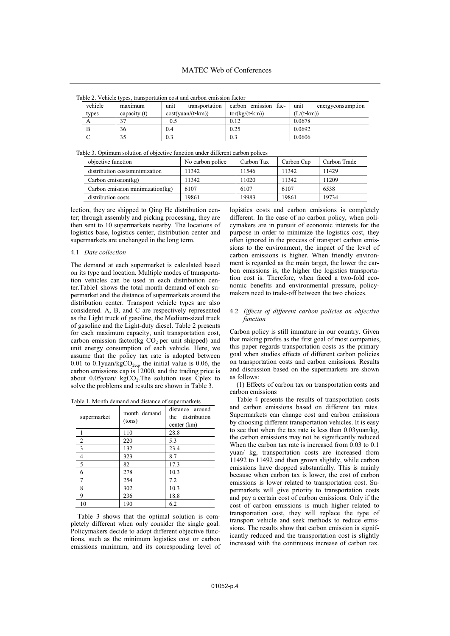# MATEC Web of Conferences

| Table 2. Vehicle types, transportation cost and carbon emission factor |              |                        |                      |                           |  |  |  |  |  |
|------------------------------------------------------------------------|--------------|------------------------|----------------------|---------------------------|--|--|--|--|--|
| vehicle                                                                | maximum      | transportation<br>unit | carbon emission fac- | unit<br>energyconsumption |  |  |  |  |  |
| types                                                                  | capacity (t) | $cost(vuan/(t*km))$    | tor(kg/(t•km))       | $(L/(t \cdot km))$        |  |  |  |  |  |
|                                                                        |              | 0.5                    | 0.12                 | 0.0678                    |  |  |  |  |  |
|                                                                        | 36           | 0.4                    | 0.25                 | 0.0692                    |  |  |  |  |  |
|                                                                        |              | 0.3                    | 0.3                  | 0.0606                    |  |  |  |  |  |

Table 3. Optimum solution of objective function under different carbon polices

| objective function                  | No carbon police | Carbon Tax | Carbon Cap | Carbon Trade |
|-------------------------------------|------------------|------------|------------|--------------|
| distribution costsminimization      | 11342            | 11546      | 11342      | 11429        |
| Carbon emission $(kg)$              | 11342            | 1020       | 11342      | 11209        |
| Carbon emission minimization $(kg)$ | 6107             | 6107       | 6107       | 6538         |
| distribution costs                  | 19861            | 19983      | 19861      | 19734        |

lection, they are shipped to Qing He distribution center; through assembly and picking processing, they are then sent to 10 supermarkets nearby. The locations of logistics base, logistics center, distribution center and supermarkets are unchanged in the long term.

#### 4.1 *Date collection*

The demand at each supermarket is calculated based on its type and location. Multiple modes of transportation vehicles can be used in each distribution center.Table1 shows the total month demand of each supermarket and the distance of supermarkets around the distribution center. Transport vehicle types are also considered. A, B, and C are respectively represented as the Light truck of gasoline, the Medium-sized truck of gasoline and the Light-duty diesel. Table 2 presents for each maximum capacity, unit transportation cost, carbon emission factor( $kg CO<sub>2</sub>$  per unit shipped) and unit energy consumption of each vehicle. Here, we assume that the policy tax rate is adopted between 0.01 to 0.1yuan/kg $CO<sub>2eq</sub>$ , the initial value is 0.06, the carbon emissions cap is 12000, and the trading price is about 0.05yuan/  $kgCO<sub>2</sub>$ . The solution uses Cplex to solve the problems and results are shown in Table 3.

| Table 1. Month demand and distance of supermarkets |  |
|----------------------------------------------------|--|
|----------------------------------------------------|--|

| supermarket    | month demand<br>(tons) | distance around<br>the distribution<br>center (km) |
|----------------|------------------------|----------------------------------------------------|
|                | 110                    | 28.8                                               |
| $\overline{c}$ | 220                    | 5.3                                                |
| $\overline{3}$ | 132                    | 23.4                                               |
| 4              | 323                    | 8.7                                                |
| 5              | 82                     | 17.3                                               |
| 6              | 278                    | 10.3                                               |
|                | 254                    | 7.2                                                |
| 8              | 302                    | 10.3                                               |
| 9              | 236                    | 18.8                                               |
| 10             | 190                    | 6.2                                                |

Table 3 shows that the optimal solution is completely different when only consider the single goal. Policymakers decide to adopt different objective functions, such as the minimum logistics cost or carbon emissions minimum, and its corresponding level of logistics costs and carbon emissions is completely different. In the case of no carbon policy, when policymakers are in pursuit of economic interests for the purpose in order to minimize the logistics cost, they often ignored in the process of transport carbon emissions to the environment, the impact of the level of carbon emissions is higher. When friendly environment is regarded as the main target, the lower the carbon emissions is, the higher the logistics transportation cost is. Therefore, when faced a two-fold economic benefits and environmental pressure, policymakers need to trade-off between the two choices.

# 4.2 *Effects of different carbon policies on objective function*

Carbon policy is still immature in our country. Given that making profits as the first goal of most companies, this paper regards transportation costs as the primary goal when studies effects of different carbon policies on transportation costs and carbon emissions. Results and discussion based on the supermarkets are shown as follows:

(1) Effects of carbon tax on transportation costs and carbon emissions

Table 4 presents the results of transportation costs and carbon emissions based on different tax rates. Supermarkets can change cost and carbon emissions by choosing different transportation vehicles. It is easy to see that when the tax rate is less than 0.03yuan/kg, the carbon emissions may not be significantly reduced. When the carbon tax rate is increased from 0.03 to 0.1 yuan/ kg, transportation costs are increased from 11492 to 11492 and then grown slightly, while carbon emissions have dropped substantially. This is mainly because when carbon tax is lower, the cost of carbon emissions is lower related to transportation cost. Supermarkets will give priority to transportation costs and pay a certain cost of carbon emissions. Only if the cost of carbon emissions is much higher related to transportation cost, they will replace the type of transport vehicle and seek methods to reduce emissions. The results show that carbon emission is significantly reduced and the transportation cost is slightly increased with the continuous increase of carbon tax.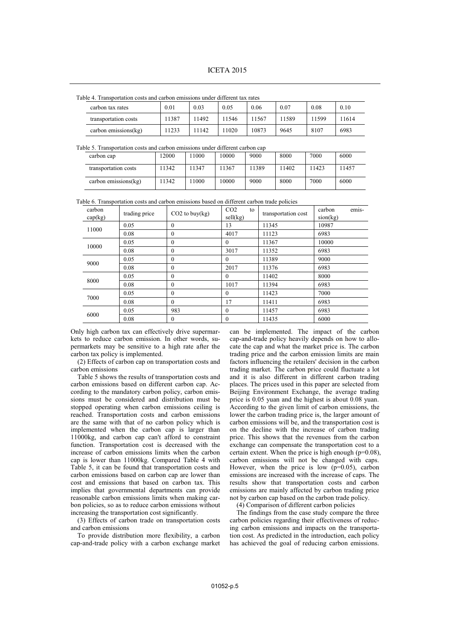Table 4. Transportation costs and carbon emissions under different tax rates

| carbon tax rates          | 0.01 | 0.03  | 0.05 | 0.06  | 0.07 | 0.08  | 0.10 |
|---------------------------|------|-------|------|-------|------|-------|------|
| transportation costs      | 1387 | 11492 | 1546 | 1567  | 1589 | 11599 | 1614 |
| $carbon$ emissions $(kg)$ | 1233 | 11142 | 1020 | 10873 | 9645 | 8107  | 6983 |

| Table 5. Transportation costs and carbon emissions under different carbon cap |  |  |  |  |
|-------------------------------------------------------------------------------|--|--|--|--|
|                                                                               |  |  |  |  |

| carbon cap                | 2000 | 1000 | 0000 | 9000 | 8000 | 7000 | 6000   |
|---------------------------|------|------|------|------|------|------|--------|
| transportation costs      | 1342 | 1347 | 1367 | 1389 | 1402 | 1423 | l 1457 |
| $carbon$ emissions $(kg)$ | 1342 | 1000 | 0000 | 9000 | 8000 | 7000 | 6000   |

Table 6. Transportation costs and carbon emissions based on different carbon trade policies

| carbon<br>cap(kg) | trading price | $CO2$ to buy(kg) | CO <sub>2</sub><br>to<br>$\text{sell}(\text{kg})$ | transportation cost | emis-<br>carbon<br>sion(kg) |
|-------------------|---------------|------------------|---------------------------------------------------|---------------------|-----------------------------|
|                   | 0.05          | $\Omega$         | 13                                                | 11345               | 10987                       |
| 11000             | 0.08          | $\mathbf{0}$     | 4017                                              | 11123               | 6983                        |
|                   | 0.05          | $\mathbf{0}$     | 0                                                 | 11367               | 10000                       |
| 10000             | 0.08          | $\mathbf{0}$     | 3017                                              | 11352               | 6983                        |
|                   | 0.05          | $\Omega$         | $\Omega$                                          | 11389               | 9000                        |
| 9000              | 0.08          | $\Omega$         | 2017                                              | 11376               | 6983                        |
|                   | 0.05          | $\Omega$         | 0                                                 | 11402               | 8000                        |
| 8000              | 0.08          | $\Omega$         | 1017                                              | 11394               | 6983                        |
|                   | 0.05          | $\Omega$         | $\theta$                                          | 11423               | 7000                        |
| 7000              | 0.08          | $\Omega$         | 17                                                | 11411               | 6983                        |
|                   | 0.05          | 983              | 0                                                 | 11457               | 6983                        |
| 6000              | 0.08          | $\mathbf{0}$     | 0                                                 | 11435               | 6000                        |

Only high carbon tax can effectively drive supermarkets to reduce carbon emission. In other words, supermarkets may be sensitive to a high rate after the carbon tax policy is implemented.

(2) Effects of carbon cap on transportation costs and carbon emissions

Table 5 shows the results of transportation costs and carbon emissions based on different carbon cap. According to the mandatory carbon policy, carbon emissions must be considered and distribution must be stopped operating when carbon emissions ceiling is reached. Transportation costs and carbon emissions are the same with that of no carbon policy which is implemented when the carbon cap is larger than 11000kg, and carbon cap can't afford to constraint function. Transportation cost is decreased with the increase of carbon emissions limits when the carbon cap is lower than 11000kg. Compared Table 4 with Table 5, it can be found that transportation costs and carbon emissions based on carbon cap are lower than cost and emissions that based on carbon tax. This implies that governmental departments can provide reasonable carbon emissions limits when making carbon policies, so as to reduce carbon emissions without increasing the transportation cost significantly.

(3) Effects of carbon trade on transportation costs and carbon emissions

To provide distribution more flexibility, a carbon cap-and-trade policy with a carbon exchange market can be implemented. The impact of the carbon cap-and-trade policy heavily depends on how to allocate the cap and what the market price is. The carbon trading price and the carbon emission limits are main factors influencing the retailers' decision in the carbon trading market. The carbon price could fluctuate a lot and it is also different in different carbon trading places. The prices used in this paper are selected from Beijing Environment Exchange, the average trading price is 0.05 yuan and the highest is about 0.08 yuan. According to the given limit of carbon emissions, the lower the carbon trading price is, the larger amount of carbon emissions will be, and the transportation cost is on the decline with the increase of carbon trading price. This shows that the revenues from the carbon exchange can compensate the transportation cost to a certain extent. When the price is high enough (p=0.08), carbon emissions will not be changed with caps. However, when the price is low (p=0.05), carbon emissions are increased with the increase of caps. The results show that transportation costs and carbon emissions are mainly affected by carbon trading price not by carbon cap based on the carbon trade policy.

(4) Comparison of different carbon policies

The findings from the case study compare the three carbon policies regarding their effectiveness of reducing carbon emissions and impacts on the transportation cost. As predicted in the introduction, each policy has achieved the goal of reducing carbon emissions.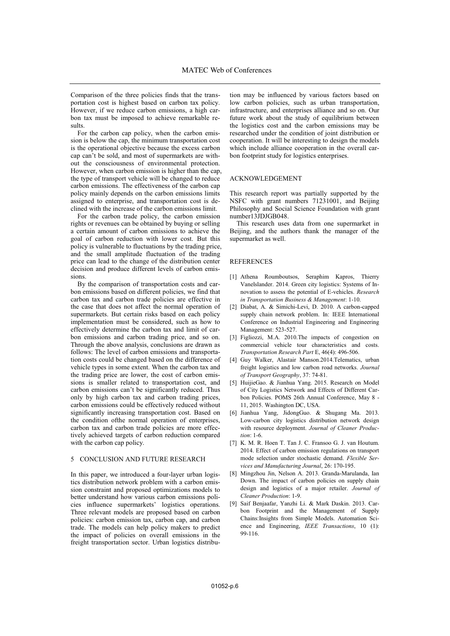Comparison of the three policies finds that the transportation cost is highest based on carbon tax policy. However, if we reduce carbon emissions, a high carbon tax must be imposed to achieve remarkable results.

For the carbon cap policy, when the carbon emission is below the cap, the minimum transportation cost is the operational objective because the excess carbon cap can't be sold, and most of supermarkets are without the consciousness of environmental protection. However, when carbon emission is higher than the cap, the type of transport vehicle will be changed to reduce carbon emissions. The effectiveness of the carbon cap policy mainly depends on the carbon emissions limits assigned to enterprise, and transportation cost is declined with the increase of the carbon emissions limit.

For the carbon trade policy, the carbon emission rights or revenues can be obtained by buying or selling a certain amount of carbon emissions to achieve the goal of carbon reduction with lower cost. But this policy is vulnerable to fluctuations by the trading price, and the small amplitude fluctuation of the trading price can lead to the change of the distribution center decision and produce different levels of carbon emissions.

By the comparison of transportation costs and carbon emissions based on different policies, we find that carbon tax and carbon trade policies are effective in the case that does not affect the normal operation of supermarkets. But certain risks based on each policy implementation must be considered, such as how to effectively determine the carbon tax and limit of carbon emissions and carbon trading price, and so on. Through the above analysis, conclusions are drawn as follows: The level of carbon emissions and transportation costs could be changed based on the difference of vehicle types in some extent. When the carbon tax and the trading price are lower, the cost of carbon emissions is smaller related to transportation cost, and carbon emissions can't be significantly reduced. Thus only by high carbon tax and carbon trading prices, carbon emissions could be effectively reduced without significantly increasing transportation cost. Based on the condition ofthe normal operation of enterprises, carbon tax and carbon trade policies are more effectively achieved targets of carbon reduction compared with the carbon cap policy.

#### 5 CONCLUSION AND FUTURE RESEARCH

In this paper, we introduced a four-layer urban logistics distribution network problem with a carbon emission constraint and proposed optimizations models to better understand how various carbon emissions policies influence supermarkets' logistics operations. Three relevant models are proposed based on carbon policies: carbon emission tax, carbon cap, and carbon trade. The models can help policy makers to predict the impact of policies on overall emissions in the freight transportation sector. Urban logistics distribution may be influenced by various factors based on low carbon policies, such as urban transportation, infrastructure, and enterprises alliance and so on. Our future work about the study of equilibrium between the logistics cost and the carbon emissions may be researched under the condition of joint distribution or cooperation. It will be interesting to design the models which include alliance cooperation in the overall carbon footprint study for logistics enterprises.

# ACKNOWLEDGEMENT

This research report was partially supported by the NSFC with grant numbers 71231001, and Beijing Philosophy and Social Science Foundation with grant number13JDJGB048.

This research uses data from one supermarket in Beijing, and the authors thank the manager of the supermarket as well.

# **REFERENCES**

- [1] Athena Roumboutsos, Seraphim Kapros, Thierry Vanelslander. 2014. Green city logistics: Systems of Innovation to assess the potential of E-vehicles. *Research in Transportation Business & Management*: 1-10.
- [2] Diabat, A. & Simichi-Levi, D. 2010. A carbon-capped supply chain network problem. In: IEEE International Conference on Industrial Engineering and Engineering Management: 523-527.
- [3] Figliozzi, M.A. 2010.The impacts of congestion on commercial vehicle tour characteristics and costs. *Transportation Research Part* E, 46(4): 496-506.
- [4] Guy Walker, Alastair Manson.2014.Telematics, urban freight logistics and low carbon road networks. *Journal of Transport Geography*, 37: 74-81.
- [5] HuijieGao. & Jianhua Yang. 2015. Research on Model of City Logistics Network and Effects of Different Carbon Policies. POMS 26th Annual Conference, May 8 - 11, 2015. Washington DC, USA.
- [6] Jianhua Yang, JidongGuo. & Shugang Ma. 2013. Low-carbon city logistics distribution network design with resource deployment. *Journal of Cleaner Production*: 1-6.
- [7] K. M. R. Hoen T. Tan J. C. Fransoo G. J. van Houtum. 2014. Effect of carbon emission regulations on transport mode selection under stochastic demand. *Flexible Services and Manufacturing Journal*, 26: 170-195.
- [8] Mingzhou Jin, Nelson A. 2013. Granda-Marulanda, Ian Down. The impact of carbon policies on supply chain design and logistics of a major retailer. *Journal of Cleaner Production*: 1-9.
- [9] Saif Benjaafar, Yanzhi Li. & Mark Daskin. 2013. Carbon Footprint and the Management of Supply Chains:Insights from Simple Models. Automation Science and Engineering, *IEEE Transactions*, 10 (1): 99-116.